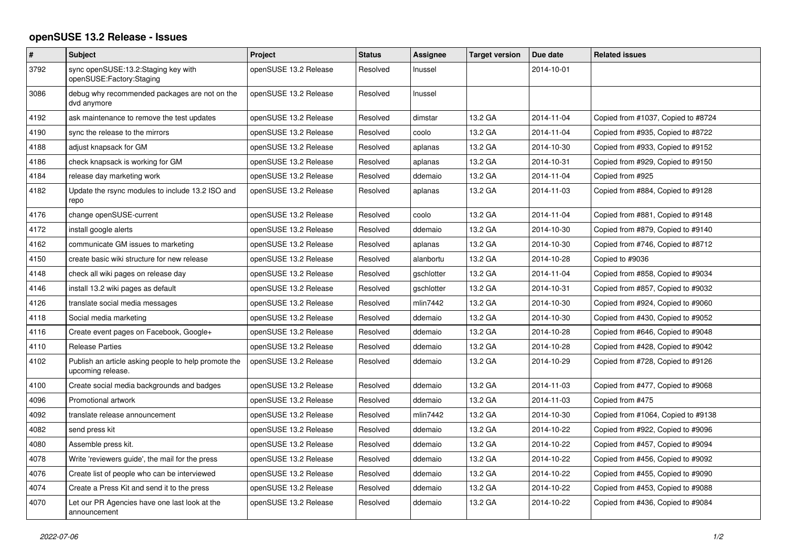## **openSUSE 13.2 Release - Issues**

| $\vert$ # | <b>Subject</b>                                                            | Project               | <b>Status</b> | Assignee   | <b>Target version</b> | Due date   | <b>Related issues</b>              |
|-----------|---------------------------------------------------------------------------|-----------------------|---------------|------------|-----------------------|------------|------------------------------------|
| 3792      | sync openSUSE:13.2:Staging key with<br>openSUSE:Factory:Staging           | openSUSE 13.2 Release | Resolved      | Inussel    |                       | 2014-10-01 |                                    |
| 3086      | debug why recommended packages are not on the<br>dvd anymore              | openSUSE 13.2 Release | Resolved      | Inussel    |                       |            |                                    |
| 4192      | ask maintenance to remove the test updates                                | openSUSE 13.2 Release | Resolved      | dimstar    | 13.2 GA               | 2014-11-04 | Copied from #1037, Copied to #8724 |
| 4190      | sync the release to the mirrors                                           | openSUSE 13.2 Release | Resolved      | coolo      | 13.2 GA               | 2014-11-04 | Copied from #935, Copied to #8722  |
| 4188      | adjust knapsack for GM                                                    | openSUSE 13.2 Release | Resolved      | aplanas    | 13.2 GA               | 2014-10-30 | Copied from #933, Copied to #9152  |
| 4186      | check knapsack is working for GM                                          | openSUSE 13.2 Release | Resolved      | aplanas    | 13.2 GA               | 2014-10-31 | Copied from #929, Copied to #9150  |
| 4184      | release day marketing work                                                | openSUSE 13.2 Release | Resolved      | ddemaio    | 13.2 GA               | 2014-11-04 | Copied from #925                   |
| 4182      | Update the rsync modules to include 13.2 ISO and<br>repo                  | openSUSE 13.2 Release | Resolved      | aplanas    | 13.2 GA               | 2014-11-03 | Copied from #884, Copied to #9128  |
| 4176      | change openSUSE-current                                                   | openSUSE 13.2 Release | Resolved      | coolo      | 13.2 GA               | 2014-11-04 | Copied from #881, Copied to #9148  |
| 4172      | install google alerts                                                     | openSUSE 13.2 Release | Resolved      | ddemaio    | 13.2 GA               | 2014-10-30 | Copied from #879, Copied to #9140  |
| 4162      | communicate GM issues to marketing                                        | openSUSE 13.2 Release | Resolved      | aplanas    | 13.2 GA               | 2014-10-30 | Copied from #746, Copied to #8712  |
| 4150      | create basic wiki structure for new release                               | openSUSE 13.2 Release | Resolved      | alanbortu  | 13.2 GA               | 2014-10-28 | Copied to #9036                    |
| 4148      | check all wiki pages on release day                                       | openSUSE 13.2 Release | Resolved      | gschlotter | 13.2 GA               | 2014-11-04 | Copied from #858, Copied to #9034  |
| 4146      | install 13.2 wiki pages as default                                        | openSUSE 13.2 Release | Resolved      | gschlotter | 13.2 GA               | 2014-10-31 | Copied from #857, Copied to #9032  |
| 4126      | translate social media messages                                           | openSUSE 13.2 Release | Resolved      | mlin7442   | 13.2 GA               | 2014-10-30 | Copied from #924, Copied to #9060  |
| 4118      | Social media marketing                                                    | openSUSE 13.2 Release | Resolved      | ddemaio    | 13.2 GA               | 2014-10-30 | Copied from #430, Copied to #9052  |
| 4116      | Create event pages on Facebook, Google+                                   | openSUSE 13.2 Release | Resolved      | ddemaio    | 13.2 GA               | 2014-10-28 | Copied from #646, Copied to #9048  |
| 4110      | <b>Release Parties</b>                                                    | openSUSE 13.2 Release | Resolved      | ddemaio    | 13.2 GA               | 2014-10-28 | Copied from #428, Copied to #9042  |
| 4102      | Publish an article asking people to help promote the<br>upcoming release. | openSUSE 13.2 Release | Resolved      | ddemaio    | 13.2 GA               | 2014-10-29 | Copied from #728, Copied to #9126  |
| 4100      | Create social media backgrounds and badges                                | openSUSE 13.2 Release | Resolved      | ddemaio    | 13.2 GA               | 2014-11-03 | Copied from #477, Copied to #9068  |
| 4096      | Promotional artwork                                                       | openSUSE 13.2 Release | Resolved      | ddemaio    | 13.2 GA               | 2014-11-03 | Copied from #475                   |
| 4092      | translate release announcement                                            | openSUSE 13.2 Release | Resolved      | mlin7442   | 13.2 GA               | 2014-10-30 | Copied from #1064, Copied to #9138 |
| 4082      | send press kit                                                            | openSUSE 13.2 Release | Resolved      | ddemaio    | 13.2 GA               | 2014-10-22 | Copied from #922, Copied to #9096  |
| 4080      | Assemble press kit.                                                       | openSUSE 13.2 Release | Resolved      | ddemaio    | 13.2 GA               | 2014-10-22 | Copied from #457, Copied to #9094  |
| 4078      | Write 'reviewers guide', the mail for the press                           | openSUSE 13.2 Release | Resolved      | ddemaio    | 13.2 GA               | 2014-10-22 | Copied from #456, Copied to #9092  |
| 4076      | Create list of people who can be interviewed                              | openSUSE 13.2 Release | Resolved      | ddemaio    | 13.2 GA               | 2014-10-22 | Copied from #455, Copied to #9090  |
| 4074      | Create a Press Kit and send it to the press                               | openSUSE 13.2 Release | Resolved      | ddemaio    | 13.2 GA               | 2014-10-22 | Copied from #453, Copied to #9088  |
| 4070      | Let our PR Agencies have one last look at the<br>announcement             | openSUSE 13.2 Release | Resolved      | ddemaio    | 13.2 GA               | 2014-10-22 | Copied from #436, Copied to #9084  |